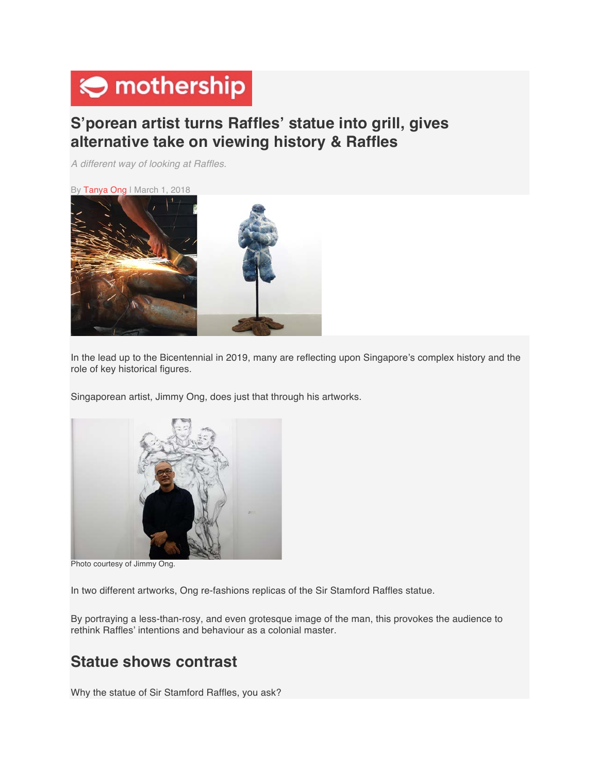# $\Theta$  mothership

## **S'porean artist turns Raffles' statue into grill, gives alternative take on viewing history & Raffles**

*A different way of looking at Raffles.*

By Tanya Ong | March 1, 2018



In the lead up to the Bicentennial in 2019, many are reflecting upon Singapore's complex history and the role of key historical figures.

Singaporean artist, Jimmy Ong, does just that through his artworks.



Photo courtesy of Jimmy Ong.

In two different artworks, Ong re-fashions replicas of the Sir Stamford Raffles statue.

By portraying a less-than-rosy, and even grotesque image of the man, this provokes the audience to rethink Raffles' intentions and behaviour as a colonial master.

## **Statue shows contrast**

Why the statue of Sir Stamford Raffles, you ask?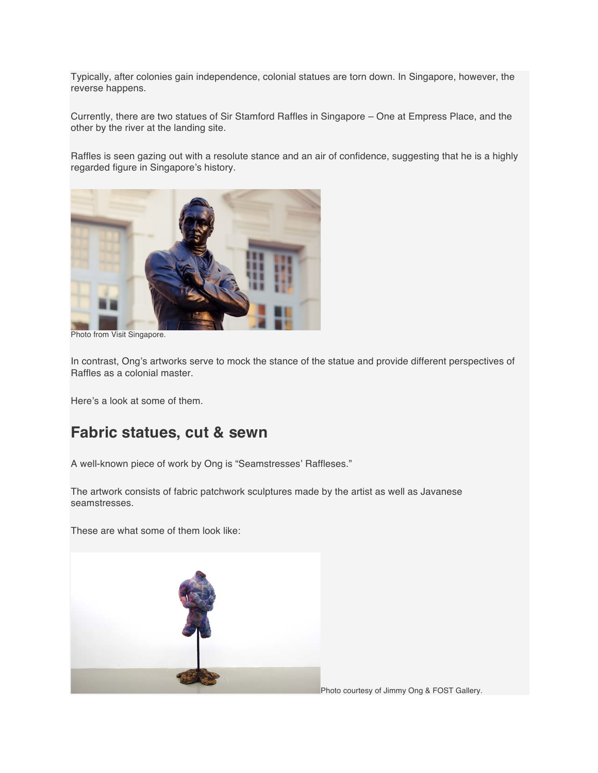Typically, after colonies gain independence, colonial statues are torn down. In Singapore, however, the reverse happens.

Currently, there are two statues of Sir Stamford Raffles in Singapore – One at Empress Place, and the other by the river at the landing site.

Raffles is seen gazing out with a resolute stance and an air of confidence, suggesting that he is a highly regarded figure in Singapore's history.



Photo from Visit Singapore.

In contrast, Ong's artworks serve to mock the stance of the statue and provide different perspectives of Raffles as a colonial master.

Here's a look at some of them.

#### **Fabric statues, cut & sewn**

A well-known piece of work by Ong is "Seamstresses' Raffleses."

The artwork consists of fabric patchwork sculptures made by the artist as well as Javanese seamstresses.

These are what some of them look like:



Photo courtesy of Jimmy Ong & FOST Gallery.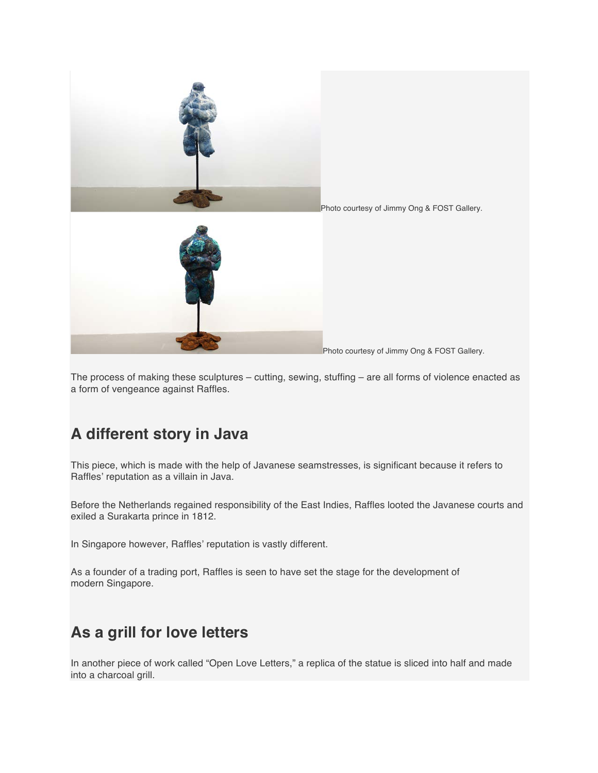

Photo courtesy of Jimmy Ong & FOST Gallery.

The process of making these sculptures – cutting, sewing, stuffing – are all forms of violence enacted as a form of vengeance against Raffles.

## **A different story in Java**

This piece, which is made with the help of Javanese seamstresses, is significant because it refers to Raffles' reputation as a villain in Java.

Before the Netherlands regained responsibility of the East Indies, Raffles looted the Javanese courts and exiled a Surakarta prince in 1812.

In Singapore however, Raffles' reputation is vastly different.

As a founder of a trading port, Raffles is seen to have set the stage for the development of modern Singapore.

## **As a grill for love letters**

In another piece of work called "Open Love Letters," a replica of the statue is sliced into half and made into a charcoal grill.